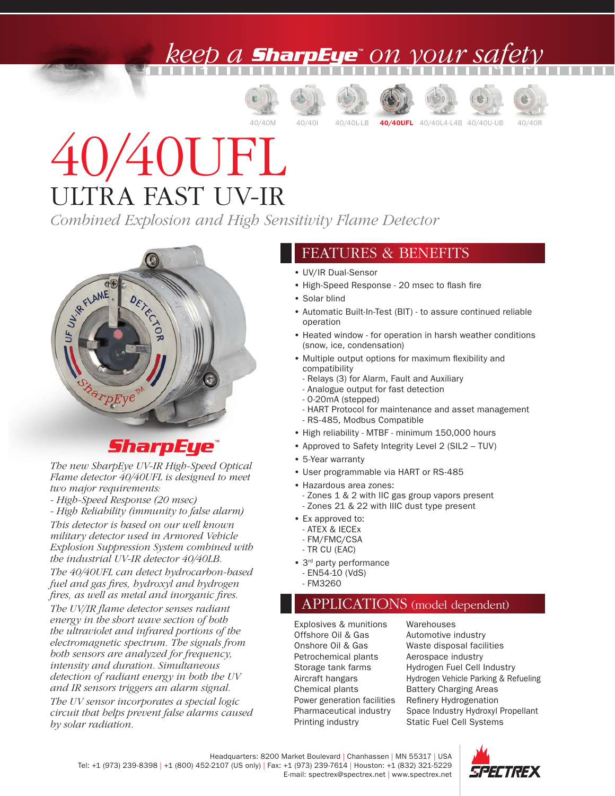### ) A **SharpEye**" ON VOUY SA











# 40/40UFL ULTRA FAST UV-IR

*Combined Explosion and High Sensitivity Flame Detector*



#### **SharpEye**

*The new SharpEye UV-IR High-Speed Optical Flame detector 40/40UFL is designed to meet two major requirements:*

*- High-Speed Response (20 msec)*

*- High Reliability (immunity to false alarm) This detector is based on our well known military detector used in Armored Vehicle Explosion Suppression System combined with the industrial UV-IR detector 40/40LB.*

*The 40/40UFL can detect hydrocarbon-based fuel and gas fires, hydroxyl and hydrogen fires, as well as metal and inorganic fires.*

*The UV/IR flame detector senses radiant energy in the short wave section of both the ultraviolet and infrared portions of the electromagnetic spectrum. The signals from both sensors are analyzed for frequency, intensity and duration. Simultaneous detection of radiant energy in both the UV and IR sensors triggers an alarm signal.*

*The UV sensor incorporates a special logic circuit that helps prevent false alarms caused by solar radiation.*

#### FEATURES & BENEFITS

- UV/IR Dual-Sensor
- High-Speed Response 20 msec to flash fire
- Solar blind
- Automatic Built-In-Test (BIT) to assure continued reliable operation
- Heated window for operation in harsh weather conditions (snow, ice, condensation)
- Multiple output options for maximum flexibility and compatibility
- Relays (3) for Alarm, Fault and Auxiliary
- Analogue output for fast detection
- 0-20mA (stepped)
- HART Protocol for maintenance and asset management
- RS-485, Modbus Compatible
- High reliability MTBF minimum 150,000 hours
- Approved to Safety Integrity Level 2 (SIL2 TUV)
- 5-Year warranty
- User programmable via HART or RS-485
- Hazardous area zones:
- Zones 1 & 2 with IIC gas group vapors present - Zones 21 & 22 with IIIC dust type present
- Ex approved to:
- ATEX & IECEx
- FM/FMC/CSA
- TR CU (EAC)
- 3<sup>rd</sup> party performance - EN54-10 (VdS)
	- FM3260

#### APPLICATIONS (model dependent)

Explosives & munitions Offshore Oil & Gas Onshore Oil & Gas Petrochemical plants Storage tank farms Aircraft hangars Chemical plants Power generation facilities Pharmaceutical industry Printing industry

**Warehouses** Automotive industry Waste disposal facilities Aerospace industry Hydrogen Fuel Cell Industry Hydrogen Vehicle Parking & Refueling Battery Charging Areas Refinery Hydrogenation Space Industry Hydroxyl Propellant Static Fuel Cell Systems